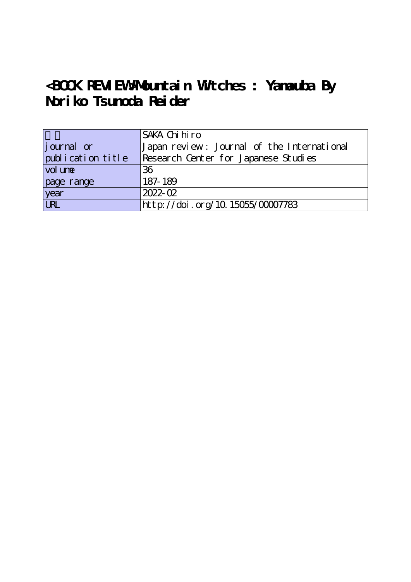## **<BOOK REVIEW>Mountain Witches : Yamauba By Noriko Tsunoda Reider**

|                   | SAKA Chi hi ro                             |
|-------------------|--------------------------------------------|
| journal or        | Japan review: Journal of the International |
| publication title | Research Center for Japanese Studies       |
| vol une           | 36                                         |
| page range        | 187-189                                    |
| year<br>URL       | 2022-02                                    |
|                   | http://doi.org/10.15055/00007783           |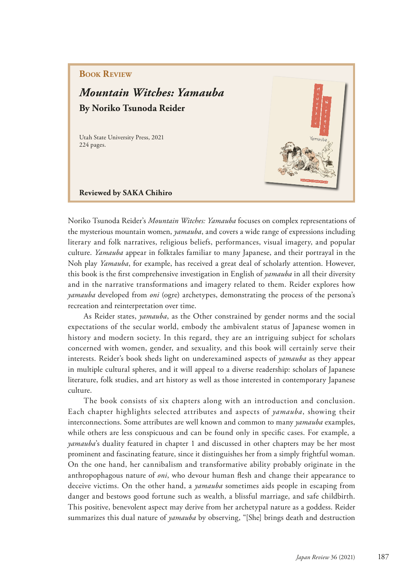## **Book Review**

## *Mountain Witches: Yamauba* **By Noriko Tsunoda Reider**

Utah State University Press, 2021 224 pages.



**Reviewed by SAKA Chihiro** 

Noriko Tsunoda Reider's *Mountain Witches: Yamauba* focuses on complex representations of the mysterious mountain women, *yamauba*, and covers a wide range of expressions including literary and folk narratives, religious beliefs, performances, visual imagery, and popular culture. *Yamauba* appear in folktales familiar to many Japanese, and their portrayal in the Noh play *Yamauba*, for example, has received a great deal of scholarly attention. However, this book is the frst comprehensive investigation in English of *yamauba* in all their diversity and in the narrative transformations and imagery related to them. Reider explores how *yamauba* developed from *oni* (ogre) archetypes, demonstrating the process of the persona's recreation and reinterpretation over time.

As Reider states, *yamauba*, as the Other constrained by gender norms and the social expectations of the secular world, embody the ambivalent status of Japanese women in history and modern society. In this regard, they are an intriguing subject for scholars concerned with women, gender, and sexuality, and this book will certainly serve their interests. Reider's book sheds light on underexamined aspects of *yamauba* as they appear in multiple cultural spheres, and it will appeal to a diverse readership: scholars of Japanese literature, folk studies, and art history as well as those interested in contemporary Japanese culture.

The book consists of six chapters along with an introduction and conclusion. Each chapter highlights selected attributes and aspects of *yamauba*, showing their interconnections. Some attributes are well known and common to many *yamauba* examples, while others are less conspicuous and can be found only in specifc cases. For example, a *yamauba*'s duality featured in chapter 1 and discussed in other chapters may be her most prominent and fascinating feature, since it distinguishes her from a simply frightful woman. On the one hand, her cannibalism and transformative ability probably originate in the anthropophagous nature of *oni*, who devour human fesh and change their appearance to deceive victims. On the other hand, a *yamauba* sometimes aids people in escaping from danger and bestows good fortune such as wealth, a blissful marriage, and safe childbirth. This positive, benevolent aspect may derive from her archetypal nature as a goddess. Reider summarizes this dual nature of *yamauba* by observing, "[She] brings death and destruction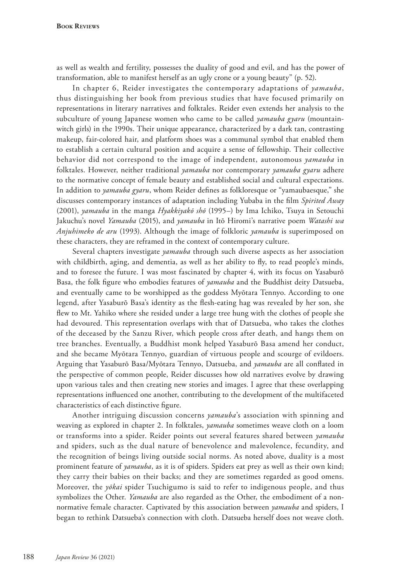as well as wealth and fertility, possesses the duality of good and evil, and has the power of transformation, able to manifest herself as an ugly crone or a young beauty" (p. 52).

In chapter 6, Reider investigates the contemporary adaptations of *yamauba*, thus distinguishing her book from previous studies that have focused primarily on representations in literary narratives and folktales. Reider even extends her analysis to the subculture of young Japanese women who came to be called *yamauba gyaru* (mountainwitch girls) in the 1990s. Their unique appearance, characterized by a dark tan, contrasting makeup, fair-colored hair, and platform shoes was a communal symbol that enabled them to establish a certain cultural position and acquire a sense of fellowship. Their collective behavior did not correspond to the image of independent, autonomous *yamauba* in folktales. However, neither traditional *yamauba* nor contemporary *yamauba gyaru* adhere to the normative concept of female beauty and established social and cultural expectations. In addition to *yamauba gyaru*, whom Reider defnes as folkloresque or "yamaubaesque," she discusses contemporary instances of adaptation including Yubaba in the flm *Spirited Away*  (2001), *yamauba* in the manga *Hyakkiyakō shō* (1995–) by Ima Ichiko, Tsuya in Setouchi Jakuchu's novel *Yamauba* (2015), and *yamauba* in Itō Hiromi's narrative poem *Watashi wa Anjuhimeko de aru* (1993). Although the image of folkloric *yamauba* is superimposed on these characters, they are reframed in the context of contemporary culture.

Several chapters investigate *yamauba* through such diverse aspects as her association with childbirth, aging, and dementia, as well as her ability to fly, to read people's minds, and to foresee the future. I was most fascinated by chapter 4, with its focus on Yasaburō Basa, the folk fgure who embodies features of *yamauba* and the Buddhist deity Datsueba, and eventually came to be worshipped as the goddess Myōtara Tennyo. According to one legend, after Yasaburō Basa's identity as the fesh-eating hag was revealed by her son, she few to Mt. Yahiko where she resided under a large tree hung with the clothes of people she had devoured. This representation overlaps with that of Datsueba, who takes the clothes of the deceased by the Sanzu River, which people cross after death, and hangs them on tree branches. Eventually, a Buddhist monk helped Yasaburō Basa amend her conduct, and she became Myōtara Tennyo, guardian of virtuous people and scourge of evildoers. Arguing that Yasaburō Basa/Myōtara Tennyo, Datsueba, and *yamauba* are all confated in the perspective of common people, Reider discusses how old narratives evolve by drawing upon various tales and then creating new stories and images. I agree that these overlapping representations infuenced one another, contributing to the development of the multifaceted characteristics of each distinctive fgure.

Another intriguing discussion concerns *yamauba*'s association with spinning and weaving as explored in chapter 2. In folktales, *yamauba* sometimes weave cloth on a loom or transforms into a spider. Reider points out several features shared between *yamauba* and spiders, such as the dual nature of benevolence and malevolence, fecundity, and the recognition of beings living outside social norms. As noted above, duality is a most prominent feature of *yamauba*, as it is of spiders. Spiders eat prey as well as their own kind; they carry their babies on their backs; and they are sometimes regarded as good omens. Moreover, the *yōkai* spider Tsuchigumo is said to refer to indigenous people, and thus symbolizes the Other. *Yamauba* are also regarded as the Other, the embodiment of a nonnormative female character. Captivated by this association between *yamauba* and spiders, I began to rethink Datsueba's connection with cloth. Datsueba herself does not weave cloth.